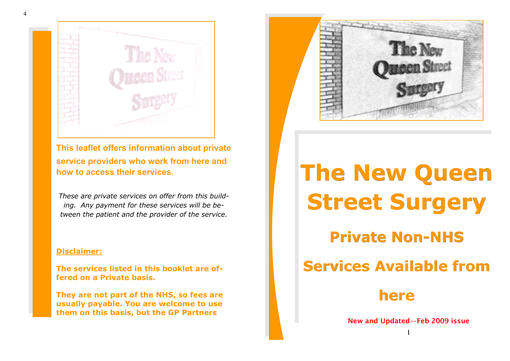

**This leaflet offers information about private service providers who work from here and how to access their services.**

*These are private services on offer from this building. Any payment for these services will be between the patient and the provider of the service.*

#### **Disclaimer:**

**The services listed in this booklet are offered on a Private basis.** 

**They are not part of the NHS, so fees are usually payable. You are welcome to use them on this basis, but the GP Partners** 



# **The New Queen Street Surgery**

# **Private Non-NHS**

# **Services Available from**

# **here**

**New and Updated—Feb 2009 issue** I